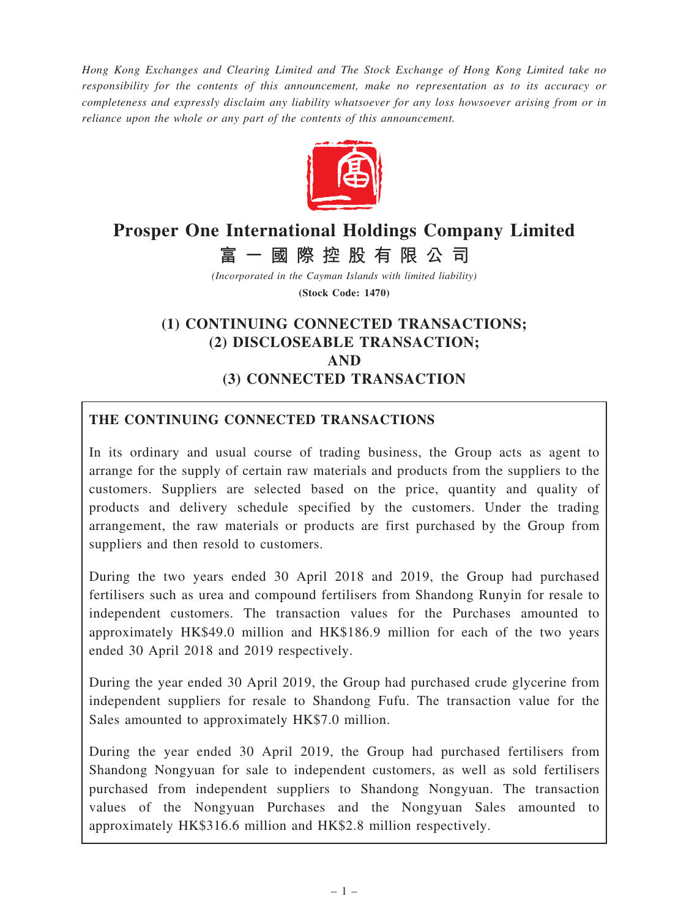Hong Kong Exchanges and Clearing Limited and The Stock Exchange of Hong Kong Limited take no responsibility for the contents of this announcement, make no representation as to its accuracy or completeness and expressly disclaim any liability whatsoever for any loss howsoever arising from or in reliance upon the whole or any part of the contents of this announcement.



# Prosper One International Holdings Company Limited

富 一 國 際 控 股 有 限 公 司

(Incorporated in the Cayman Islands with limited liability)

(Stock Code: 1470)

## (1) CONTINUING CONNECTED TRANSACTIONS; (2) DISCLOSEABLE TRANSACTION; AND (3) CONNECTED TRANSACTION

## THE CONTINUING CONNECTED TRANSACTIONS

In its ordinary and usual course of trading business, the Group acts as agent to arrange for the supply of certain raw materials and products from the suppliers to the customers. Suppliers are selected based on the price, quantity and quality of products and delivery schedule specified by the customers. Under the trading arrangement, the raw materials or products are first purchased by the Group from suppliers and then resold to customers.

During the two years ended 30 April 2018 and 2019, the Group had purchased fertilisers such as urea and compound fertilisers from Shandong Runyin for resale to independent customers. The transaction values for the Purchases amounted to approximately HK\$49.0 million and HK\$186.9 million for each of the two years ended 30 April 2018 and 2019 respectively.

During the year ended 30 April 2019, the Group had purchased crude glycerine from independent suppliers for resale to Shandong Fufu. The transaction value for the Sales amounted to approximately HK\$7.0 million.

During the year ended 30 April 2019, the Group had purchased fertilisers from Shandong Nongyuan for sale to independent customers, as well as sold fertilisers purchased from independent suppliers to Shandong Nongyuan. The transaction values of the Nongyuan Purchases and the Nongyuan Sales amounted to approximately HK\$316.6 million and HK\$2.8 million respectively.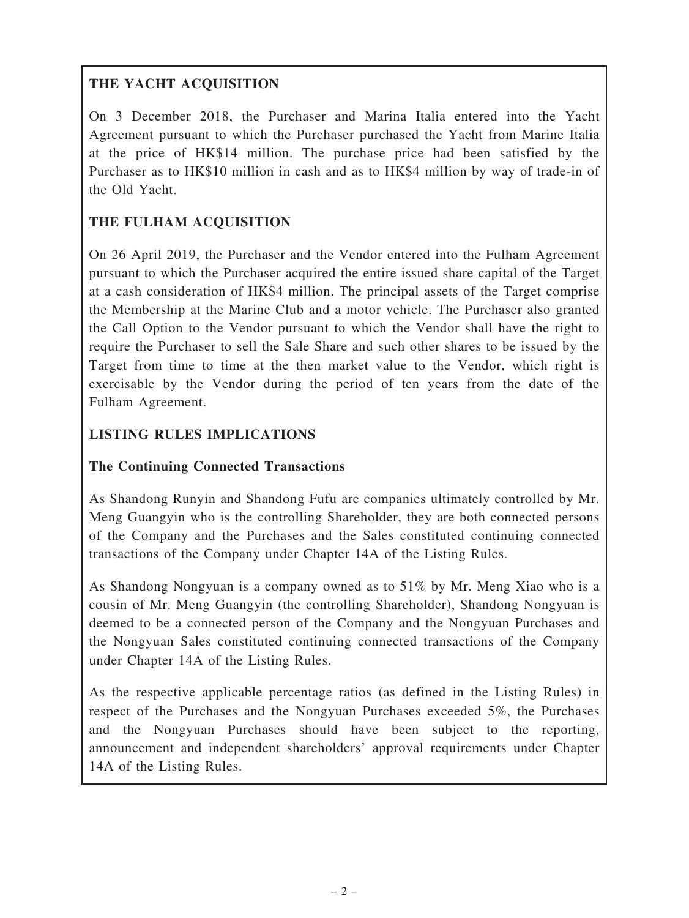## THE YACHT ACQUISITION

On 3 December 2018, the Purchaser and Marina Italia entered into the Yacht Agreement pursuant to which the Purchaser purchased the Yacht from Marine Italia at the price of HK\$14 million. The purchase price had been satisfied by the Purchaser as to HK\$10 million in cash and as to HK\$4 million by way of trade-in of the Old Yacht.

## THE FULHAM ACQUISITION

On 26 April 2019, the Purchaser and the Vendor entered into the Fulham Agreement pursuant to which the Purchaser acquired the entire issued share capital of the Target at a cash consideration of HK\$4 million. The principal assets of the Target comprise the Membership at the Marine Club and a motor vehicle. The Purchaser also granted the Call Option to the Vendor pursuant to which the Vendor shall have the right to require the Purchaser to sell the Sale Share and such other shares to be issued by the Target from time to time at the then market value to the Vendor, which right is exercisable by the Vendor during the period of ten years from the date of the Fulham Agreement.

## LISTING RULES IMPLICATIONS

## The Continuing Connected Transactions

As Shandong Runyin and Shandong Fufu are companies ultimately controlled by Mr. Meng Guangyin who is the controlling Shareholder, they are both connected persons of the Company and the Purchases and the Sales constituted continuing connected transactions of the Company under Chapter 14A of the Listing Rules.

As Shandong Nongyuan is a company owned as to 51% by Mr. Meng Xiao who is a cousin of Mr. Meng Guangyin (the controlling Shareholder), Shandong Nongyuan is deemed to be a connected person of the Company and the Nongyuan Purchases and the Nongyuan Sales constituted continuing connected transactions of the Company under Chapter 14A of the Listing Rules.

As the respective applicable percentage ratios (as defined in the Listing Rules) in respect of the Purchases and the Nongyuan Purchases exceeded 5%, the Purchases and the Nongyuan Purchases should have been subject to the reporting, announcement and independent shareholders' approval requirements under Chapter 14A of the Listing Rules.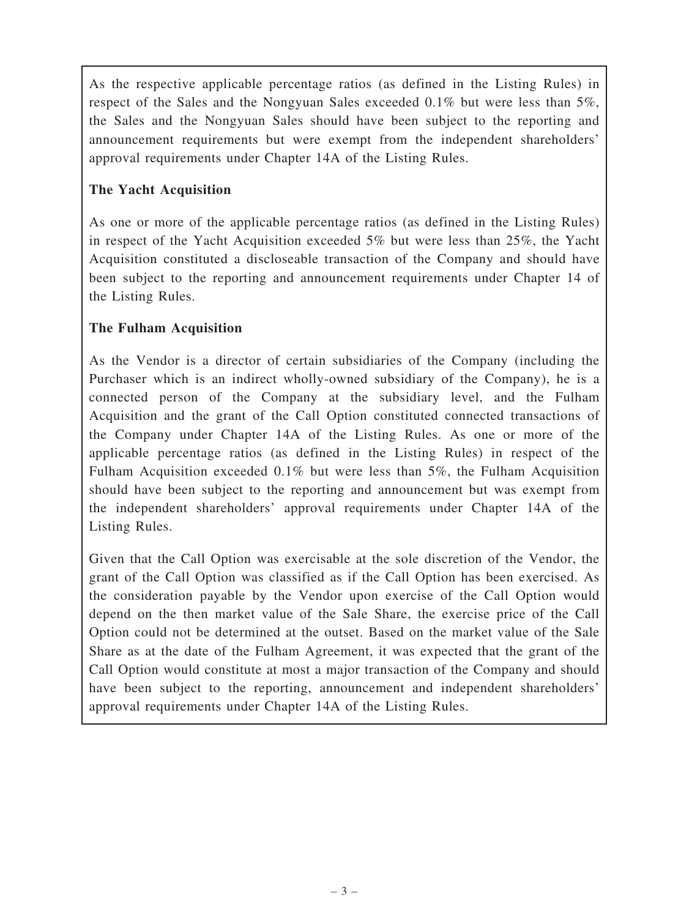As the respective applicable percentage ratios (as defined in the Listing Rules) in respect of the Sales and the Nongyuan Sales exceeded 0.1% but were less than 5%, the Sales and the Nongyuan Sales should have been subject to the reporting and announcement requirements but were exempt from the independent shareholders' approval requirements under Chapter 14A of the Listing Rules.

## The Yacht Acquisition

As one or more of the applicable percentage ratios (as defined in the Listing Rules) in respect of the Yacht Acquisition exceeded 5% but were less than 25%, the Yacht Acquisition constituted a discloseable transaction of the Company and should have been subject to the reporting and announcement requirements under Chapter 14 of the Listing Rules.

## The Fulham Acquisition

As the Vendor is a director of certain subsidiaries of the Company (including the Purchaser which is an indirect wholly-owned subsidiary of the Company), he is a connected person of the Company at the subsidiary level, and the Fulham Acquisition and the grant of the Call Option constituted connected transactions of the Company under Chapter 14A of the Listing Rules. As one or more of the applicable percentage ratios (as defined in the Listing Rules) in respect of the Fulham Acquisition exceeded 0.1% but were less than 5%, the Fulham Acquisition should have been subject to the reporting and announcement but was exempt from the independent shareholders' approval requirements under Chapter 14A of the Listing Rules.

Given that the Call Option was exercisable at the sole discretion of the Vendor, the grant of the Call Option was classified as if the Call Option has been exercised. As the consideration payable by the Vendor upon exercise of the Call Option would depend on the then market value of the Sale Share, the exercise price of the Call Option could not be determined at the outset. Based on the market value of the Sale Share as at the date of the Fulham Agreement, it was expected that the grant of the Call Option would constitute at most a major transaction of the Company and should have been subject to the reporting, announcement and independent shareholders' approval requirements under Chapter 14A of the Listing Rules.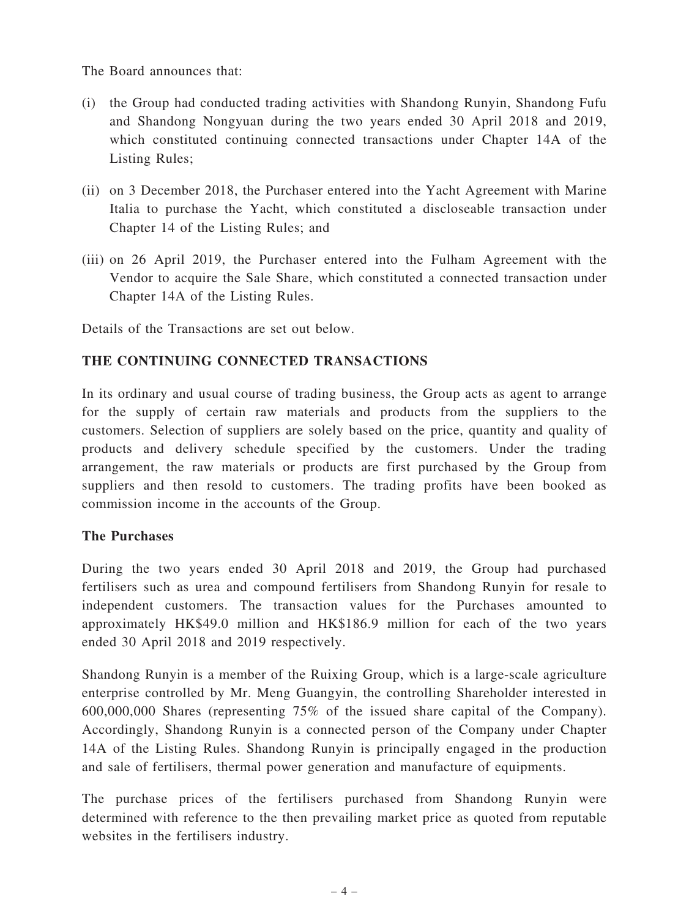The Board announces that:

- (i) the Group had conducted trading activities with Shandong Runyin, Shandong Fufu and Shandong Nongyuan during the two years ended 30 April 2018 and 2019, which constituted continuing connected transactions under Chapter 14A of the Listing Rules;
- (ii) on 3 December 2018, the Purchaser entered into the Yacht Agreement with Marine Italia to purchase the Yacht, which constituted a discloseable transaction under Chapter 14 of the Listing Rules; and
- (iii) on 26 April 2019, the Purchaser entered into the Fulham Agreement with the Vendor to acquire the Sale Share, which constituted a connected transaction under Chapter 14A of the Listing Rules.

Details of the Transactions are set out below.

## THE CONTINUING CONNECTED TRANSACTIONS

In its ordinary and usual course of trading business, the Group acts as agent to arrange for the supply of certain raw materials and products from the suppliers to the customers. Selection of suppliers are solely based on the price, quantity and quality of products and delivery schedule specified by the customers. Under the trading arrangement, the raw materials or products are first purchased by the Group from suppliers and then resold to customers. The trading profits have been booked as commission income in the accounts of the Group.

#### The Purchases

During the two years ended 30 April 2018 and 2019, the Group had purchased fertilisers such as urea and compound fertilisers from Shandong Runyin for resale to independent customers. The transaction values for the Purchases amounted to approximately HK\$49.0 million and HK\$186.9 million for each of the two years ended 30 April 2018 and 2019 respectively.

Shandong Runyin is a member of the Ruixing Group, which is a large-scale agriculture enterprise controlled by Mr. Meng Guangyin, the controlling Shareholder interested in 600,000,000 Shares (representing 75% of the issued share capital of the Company). Accordingly, Shandong Runyin is a connected person of the Company under Chapter 14A of the Listing Rules. Shandong Runyin is principally engaged in the production and sale of fertilisers, thermal power generation and manufacture of equipments.

The purchase prices of the fertilisers purchased from Shandong Runyin were determined with reference to the then prevailing market price as quoted from reputable websites in the fertilisers industry.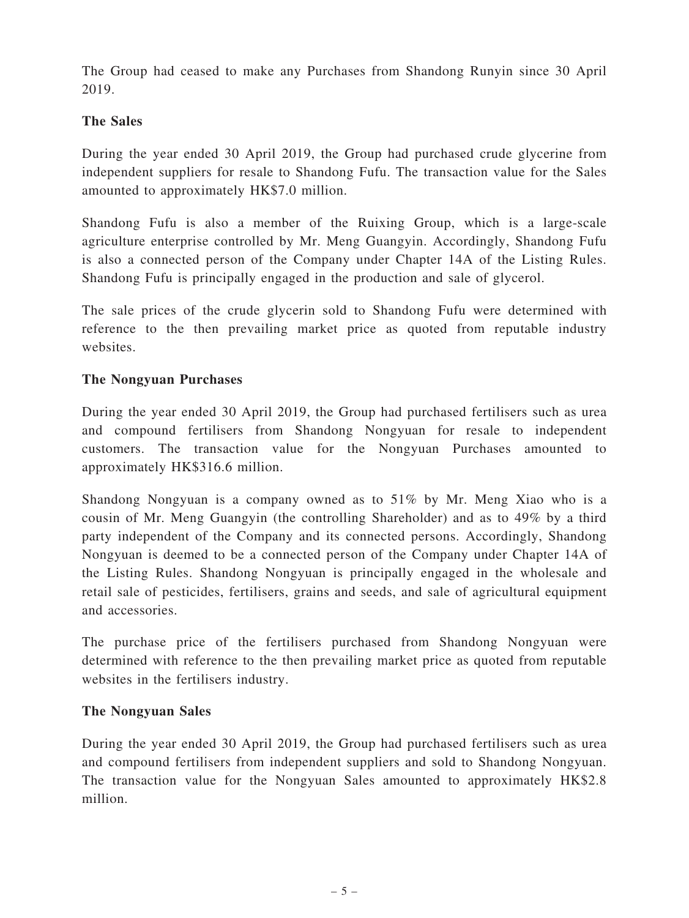The Group had ceased to make any Purchases from Shandong Runyin since 30 April 2019.

## The Sales

During the year ended 30 April 2019, the Group had purchased crude glycerine from independent suppliers for resale to Shandong Fufu. The transaction value for the Sales amounted to approximately HK\$7.0 million.

Shandong Fufu is also a member of the Ruixing Group, which is a large-scale agriculture enterprise controlled by Mr. Meng Guangyin. Accordingly, Shandong Fufu is also a connected person of the Company under Chapter 14A of the Listing Rules. Shandong Fufu is principally engaged in the production and sale of glycerol.

The sale prices of the crude glycerin sold to Shandong Fufu were determined with reference to the then prevailing market price as quoted from reputable industry websites.

#### The Nongyuan Purchases

During the year ended 30 April 2019, the Group had purchased fertilisers such as urea and compound fertilisers from Shandong Nongyuan for resale to independent customers. The transaction value for the Nongyuan Purchases amounted to approximately HK\$316.6 million.

Shandong Nongyuan is a company owned as to 51% by Mr. Meng Xiao who is a cousin of Mr. Meng Guangyin (the controlling Shareholder) and as to 49% by a third party independent of the Company and its connected persons. Accordingly, Shandong Nongyuan is deemed to be a connected person of the Company under Chapter 14A of the Listing Rules. Shandong Nongyuan is principally engaged in the wholesale and retail sale of pesticides, fertilisers, grains and seeds, and sale of agricultural equipment and accessories.

The purchase price of the fertilisers purchased from Shandong Nongyuan were determined with reference to the then prevailing market price as quoted from reputable websites in the fertilisers industry.

#### The Nongyuan Sales

During the year ended 30 April 2019, the Group had purchased fertilisers such as urea and compound fertilisers from independent suppliers and sold to Shandong Nongyuan. The transaction value for the Nongyuan Sales amounted to approximately HK\$2.8 million.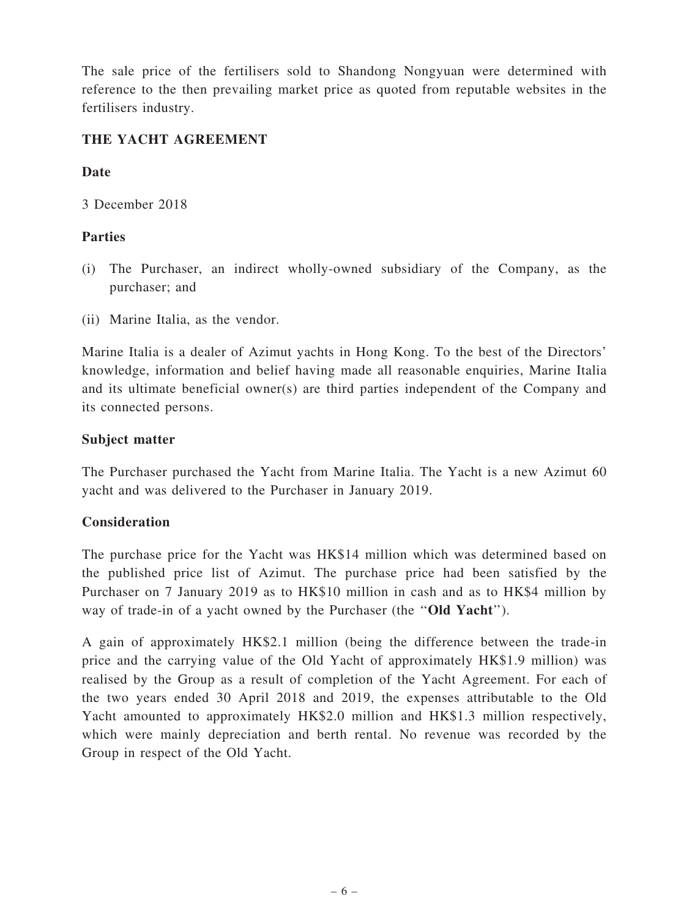The sale price of the fertilisers sold to Shandong Nongyuan were determined with reference to the then prevailing market price as quoted from reputable websites in the fertilisers industry.

#### THE YACHT AGREEMENT

#### Date

3 December 2018

## Parties

- (i) The Purchaser, an indirect wholly-owned subsidiary of the Company, as the purchaser; and
- (ii) Marine Italia, as the vendor.

Marine Italia is a dealer of Azimut yachts in Hong Kong. To the best of the Directors' knowledge, information and belief having made all reasonable enquiries, Marine Italia and its ultimate beneficial owner(s) are third parties independent of the Company and its connected persons.

## Subject matter

The Purchaser purchased the Yacht from Marine Italia. The Yacht is a new Azimut 60 yacht and was delivered to the Purchaser in January 2019.

## Consideration

The purchase price for the Yacht was HK\$14 million which was determined based on the published price list of Azimut. The purchase price had been satisfied by the Purchaser on 7 January 2019 as to HK\$10 million in cash and as to HK\$4 million by way of trade-in of a yacht owned by the Purchaser (the "Old Yacht").

A gain of approximately HK\$2.1 million (being the difference between the trade-in price and the carrying value of the Old Yacht of approximately HK\$1.9 million) was realised by the Group as a result of completion of the Yacht Agreement. For each of the two years ended 30 April 2018 and 2019, the expenses attributable to the Old Yacht amounted to approximately HK\$2.0 million and HK\$1.3 million respectively, which were mainly depreciation and berth rental. No revenue was recorded by the Group in respect of the Old Yacht.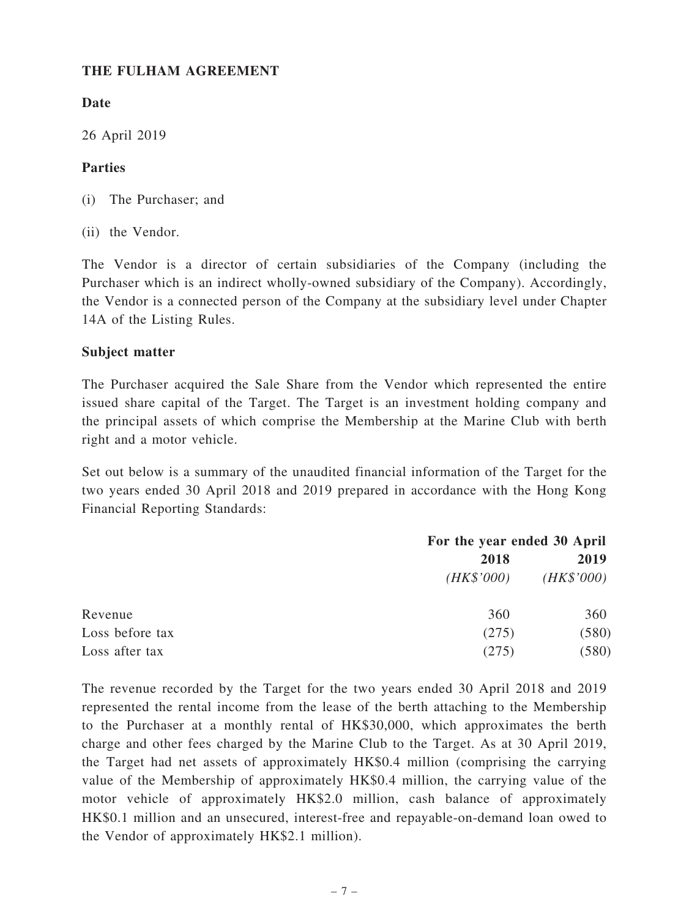#### THE FULHAM AGREEMENT

## Date

26 April 2019

## Parties

- (i) The Purchaser; and
- (ii) the Vendor.

The Vendor is a director of certain subsidiaries of the Company (including the Purchaser which is an indirect wholly-owned subsidiary of the Company). Accordingly, the Vendor is a connected person of the Company at the subsidiary level under Chapter 14A of the Listing Rules.

## Subject matter

The Purchaser acquired the Sale Share from the Vendor which represented the entire issued share capital of the Target. The Target is an investment holding company and the principal assets of which comprise the Membership at the Marine Club with berth right and a motor vehicle.

Set out below is a summary of the unaudited financial information of the Target for the two years ended 30 April 2018 and 2019 prepared in accordance with the Hong Kong Financial Reporting Standards:

|                 |            | For the year ended 30 April |  |
|-----------------|------------|-----------------------------|--|
|                 | 2018       | 2019<br>(HK\$'000)          |  |
|                 | (HK\$'000) |                             |  |
| Revenue         | 360        | 360                         |  |
| Loss before tax | (275)      | (580)                       |  |
| Loss after tax  | (275)      | (580)                       |  |

The revenue recorded by the Target for the two years ended 30 April 2018 and 2019 represented the rental income from the lease of the berth attaching to the Membership to the Purchaser at a monthly rental of HK\$30,000, which approximates the berth charge and other fees charged by the Marine Club to the Target. As at 30 April 2019, the Target had net assets of approximately HK\$0.4 million (comprising the carrying value of the Membership of approximately HK\$0.4 million, the carrying value of the motor vehicle of approximately HK\$2.0 million, cash balance of approximately HK\$0.1 million and an unsecured, interest-free and repayable-on-demand loan owed to the Vendor of approximately HK\$2.1 million).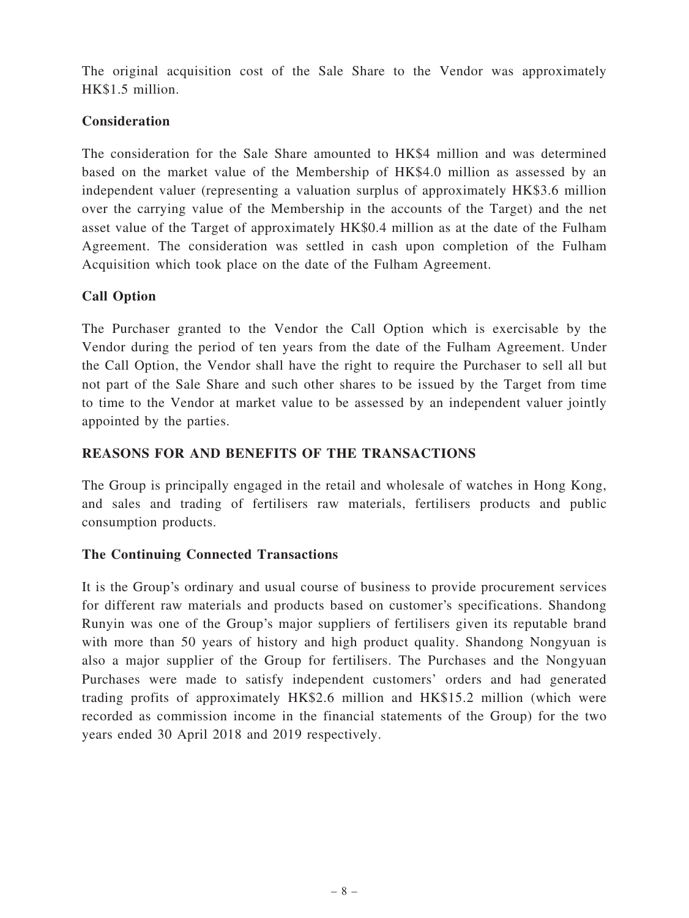The original acquisition cost of the Sale Share to the Vendor was approximately HK\$1.5 million.

## **Consideration**

The consideration for the Sale Share amounted to HK\$4 million and was determined based on the market value of the Membership of HK\$4.0 million as assessed by an independent valuer (representing a valuation surplus of approximately HK\$3.6 million over the carrying value of the Membership in the accounts of the Target) and the net asset value of the Target of approximately HK\$0.4 million as at the date of the Fulham Agreement. The consideration was settled in cash upon completion of the Fulham Acquisition which took place on the date of the Fulham Agreement.

## Call Option

The Purchaser granted to the Vendor the Call Option which is exercisable by the Vendor during the period of ten years from the date of the Fulham Agreement. Under the Call Option, the Vendor shall have the right to require the Purchaser to sell all but not part of the Sale Share and such other shares to be issued by the Target from time to time to the Vendor at market value to be assessed by an independent valuer jointly appointed by the parties.

## REASONS FOR AND BENEFITS OF THE TRANSACTIONS

The Group is principally engaged in the retail and wholesale of watches in Hong Kong, and sales and trading of fertilisers raw materials, fertilisers products and public consumption products.

#### The Continuing Connected Transactions

It is the Group's ordinary and usual course of business to provide procurement services for different raw materials and products based on customer's specifications. Shandong Runyin was one of the Group's major suppliers of fertilisers given its reputable brand with more than 50 years of history and high product quality. Shandong Nongyuan is also a major supplier of the Group for fertilisers. The Purchases and the Nongyuan Purchases were made to satisfy independent customers' orders and had generated trading profits of approximately HK\$2.6 million and HK\$15.2 million (which were recorded as commission income in the financial statements of the Group) for the two years ended 30 April 2018 and 2019 respectively.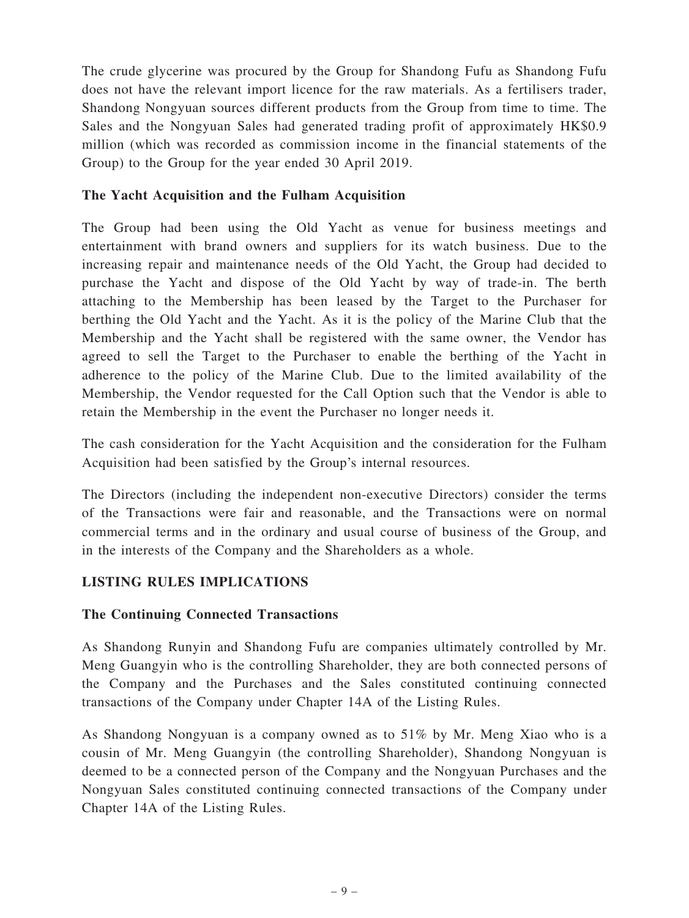The crude glycerine was procured by the Group for Shandong Fufu as Shandong Fufu does not have the relevant import licence for the raw materials. As a fertilisers trader, Shandong Nongyuan sources different products from the Group from time to time. The Sales and the Nongyuan Sales had generated trading profit of approximately HK\$0.9 million (which was recorded as commission income in the financial statements of the Group) to the Group for the year ended 30 April 2019.

#### The Yacht Acquisition and the Fulham Acquisition

The Group had been using the Old Yacht as venue for business meetings and entertainment with brand owners and suppliers for its watch business. Due to the increasing repair and maintenance needs of the Old Yacht, the Group had decided to purchase the Yacht and dispose of the Old Yacht by way of trade-in. The berth attaching to the Membership has been leased by the Target to the Purchaser for berthing the Old Yacht and the Yacht. As it is the policy of the Marine Club that the Membership and the Yacht shall be registered with the same owner, the Vendor has agreed to sell the Target to the Purchaser to enable the berthing of the Yacht in adherence to the policy of the Marine Club. Due to the limited availability of the Membership, the Vendor requested for the Call Option such that the Vendor is able to retain the Membership in the event the Purchaser no longer needs it.

The cash consideration for the Yacht Acquisition and the consideration for the Fulham Acquisition had been satisfied by the Group's internal resources.

The Directors (including the independent non-executive Directors) consider the terms of the Transactions were fair and reasonable, and the Transactions were on normal commercial terms and in the ordinary and usual course of business of the Group, and in the interests of the Company and the Shareholders as a whole.

## LISTING RULES IMPLICATIONS

#### The Continuing Connected Transactions

As Shandong Runyin and Shandong Fufu are companies ultimately controlled by Mr. Meng Guangyin who is the controlling Shareholder, they are both connected persons of the Company and the Purchases and the Sales constituted continuing connected transactions of the Company under Chapter 14A of the Listing Rules.

As Shandong Nongyuan is a company owned as to 51% by Mr. Meng Xiao who is a cousin of Mr. Meng Guangyin (the controlling Shareholder), Shandong Nongyuan is deemed to be a connected person of the Company and the Nongyuan Purchases and the Nongyuan Sales constituted continuing connected transactions of the Company under Chapter 14A of the Listing Rules.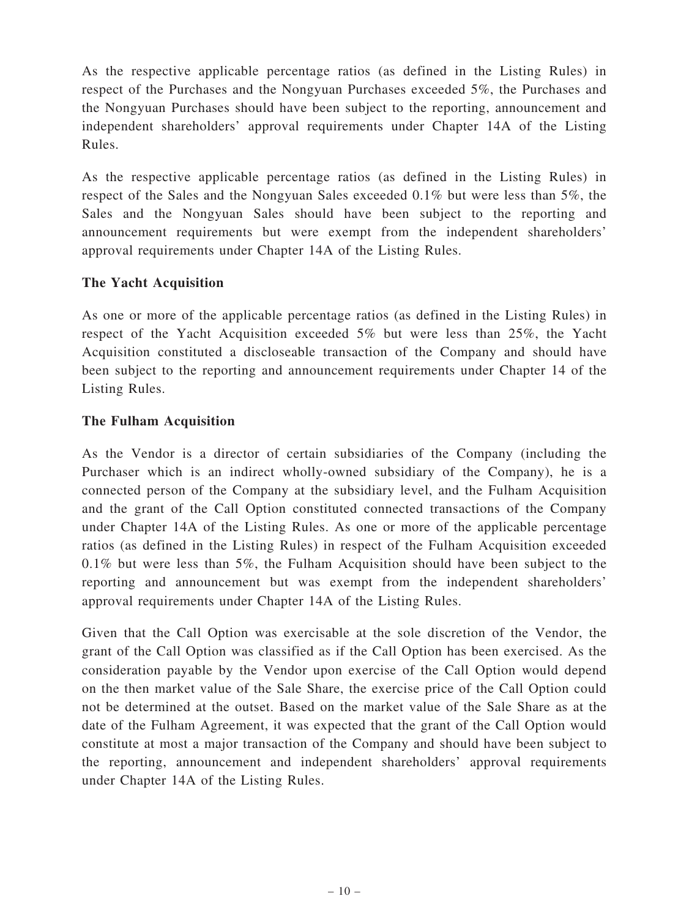As the respective applicable percentage ratios (as defined in the Listing Rules) in respect of the Purchases and the Nongyuan Purchases exceeded 5%, the Purchases and the Nongyuan Purchases should have been subject to the reporting, announcement and independent shareholders' approval requirements under Chapter 14A of the Listing Rules.

As the respective applicable percentage ratios (as defined in the Listing Rules) in respect of the Sales and the Nongyuan Sales exceeded 0.1% but were less than 5%, the Sales and the Nongyuan Sales should have been subject to the reporting and announcement requirements but were exempt from the independent shareholders' approval requirements under Chapter 14A of the Listing Rules.

#### The Yacht Acquisition

As one or more of the applicable percentage ratios (as defined in the Listing Rules) in respect of the Yacht Acquisition exceeded 5% but were less than 25%, the Yacht Acquisition constituted a discloseable transaction of the Company and should have been subject to the reporting and announcement requirements under Chapter 14 of the Listing Rules.

## The Fulham Acquisition

As the Vendor is a director of certain subsidiaries of the Company (including the Purchaser which is an indirect wholly-owned subsidiary of the Company), he is a connected person of the Company at the subsidiary level, and the Fulham Acquisition and the grant of the Call Option constituted connected transactions of the Company under Chapter 14A of the Listing Rules. As one or more of the applicable percentage ratios (as defined in the Listing Rules) in respect of the Fulham Acquisition exceeded  $0.1\%$  but were less than 5%, the Fulham Acquisition should have been subject to the reporting and announcement but was exempt from the independent shareholders' approval requirements under Chapter 14A of the Listing Rules.

Given that the Call Option was exercisable at the sole discretion of the Vendor, the grant of the Call Option was classified as if the Call Option has been exercised. As the consideration payable by the Vendor upon exercise of the Call Option would depend on the then market value of the Sale Share, the exercise price of the Call Option could not be determined at the outset. Based on the market value of the Sale Share as at the date of the Fulham Agreement, it was expected that the grant of the Call Option would constitute at most a major transaction of the Company and should have been subject to the reporting, announcement and independent shareholders' approval requirements under Chapter 14A of the Listing Rules.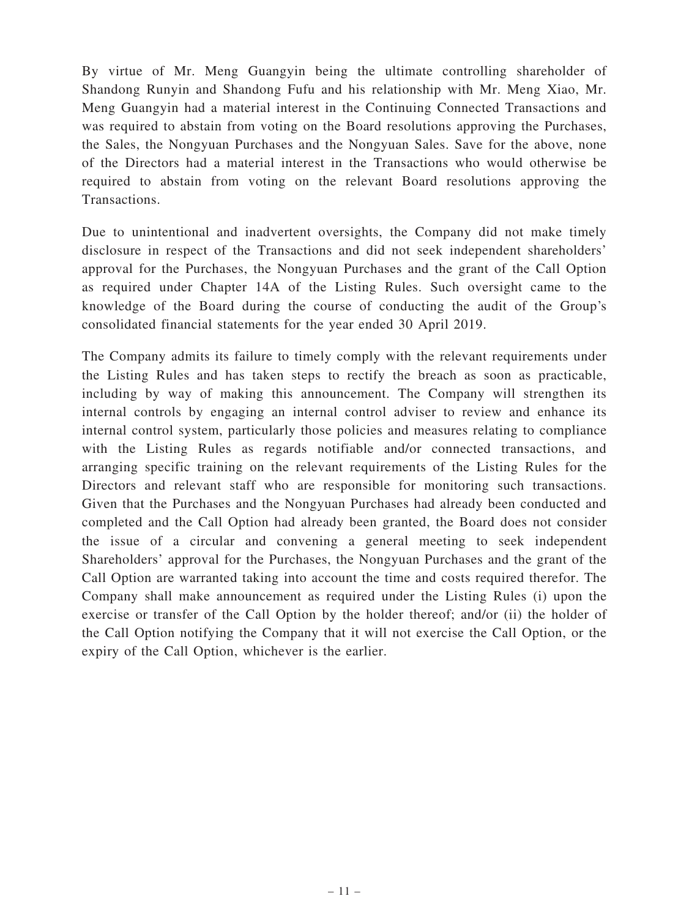By virtue of Mr. Meng Guangyin being the ultimate controlling shareholder of Shandong Runyin and Shandong Fufu and his relationship with Mr. Meng Xiao, Mr. Meng Guangyin had a material interest in the Continuing Connected Transactions and was required to abstain from voting on the Board resolutions approving the Purchases, the Sales, the Nongyuan Purchases and the Nongyuan Sales. Save for the above, none of the Directors had a material interest in the Transactions who would otherwise be required to abstain from voting on the relevant Board resolutions approving the Transactions.

Due to unintentional and inadvertent oversights, the Company did not make timely disclosure in respect of the Transactions and did not seek independent shareholders' approval for the Purchases, the Nongyuan Purchases and the grant of the Call Option as required under Chapter 14A of the Listing Rules. Such oversight came to the knowledge of the Board during the course of conducting the audit of the Group's consolidated financial statements for the year ended 30 April 2019.

The Company admits its failure to timely comply with the relevant requirements under the Listing Rules and has taken steps to rectify the breach as soon as practicable, including by way of making this announcement. The Company will strengthen its internal controls by engaging an internal control adviser to review and enhance its internal control system, particularly those policies and measures relating to compliance with the Listing Rules as regards notifiable and/or connected transactions, and arranging specific training on the relevant requirements of the Listing Rules for the Directors and relevant staff who are responsible for monitoring such transactions. Given that the Purchases and the Nongyuan Purchases had already been conducted and completed and the Call Option had already been granted, the Board does not consider the issue of a circular and convening a general meeting to seek independent Shareholders' approval for the Purchases, the Nongyuan Purchases and the grant of the Call Option are warranted taking into account the time and costs required therefor. The Company shall make announcement as required under the Listing Rules (i) upon the exercise or transfer of the Call Option by the holder thereof; and/or (ii) the holder of the Call Option notifying the Company that it will not exercise the Call Option, or the expiry of the Call Option, whichever is the earlier.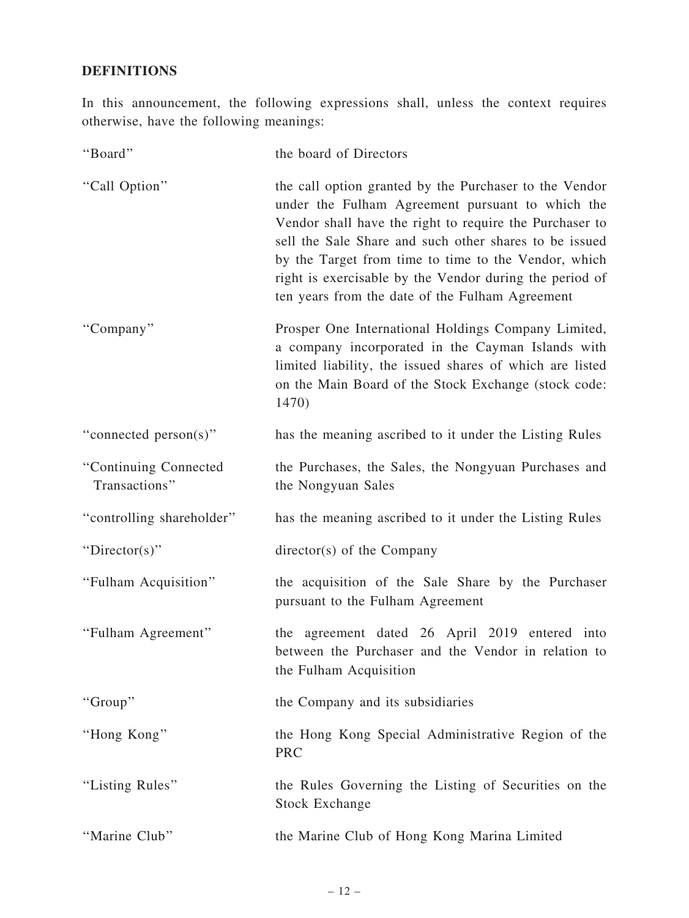## DEFINITIONS

In this announcement, the following expressions shall, unless the context requires otherwise, have the following meanings:

| "Board"                                | the board of Directors                                                                                                                                                                                                                                                                                                                                                                                |
|----------------------------------------|-------------------------------------------------------------------------------------------------------------------------------------------------------------------------------------------------------------------------------------------------------------------------------------------------------------------------------------------------------------------------------------------------------|
| "Call Option"                          | the call option granted by the Purchaser to the Vendor<br>under the Fulham Agreement pursuant to which the<br>Vendor shall have the right to require the Purchaser to<br>sell the Sale Share and such other shares to be issued<br>by the Target from time to time to the Vendor, which<br>right is exercisable by the Vendor during the period of<br>ten years from the date of the Fulham Agreement |
| "Company"                              | Prosper One International Holdings Company Limited,<br>a company incorporated in the Cayman Islands with<br>limited liability, the issued shares of which are listed<br>on the Main Board of the Stock Exchange (stock code:<br>1470)                                                                                                                                                                 |
| "connected person(s)"                  | has the meaning ascribed to it under the Listing Rules                                                                                                                                                                                                                                                                                                                                                |
| "Continuing Connected<br>Transactions" | the Purchases, the Sales, the Nongyuan Purchases and<br>the Nongyuan Sales                                                                                                                                                                                                                                                                                                                            |
| "controlling shareholder"              | has the meaning ascribed to it under the Listing Rules                                                                                                                                                                                                                                                                                                                                                |
| " $Directory$ "                        | director(s) of the Company                                                                                                                                                                                                                                                                                                                                                                            |
| "Fulham Acquisition"                   | the acquisition of the Sale Share by the Purchaser<br>pursuant to the Fulham Agreement                                                                                                                                                                                                                                                                                                                |
| "Fulham Agreement"                     | the agreement dated 26 April 2019 entered into<br>between the Purchaser and the Vendor in relation to<br>the Fulham Acquisition                                                                                                                                                                                                                                                                       |
| "Group"                                | the Company and its subsidiaries                                                                                                                                                                                                                                                                                                                                                                      |
| "Hong Kong"                            | the Hong Kong Special Administrative Region of the<br><b>PRC</b>                                                                                                                                                                                                                                                                                                                                      |
| "Listing Rules"                        | the Rules Governing the Listing of Securities on the<br><b>Stock Exchange</b>                                                                                                                                                                                                                                                                                                                         |
| "Marine Club"                          | the Marine Club of Hong Kong Marina Limited                                                                                                                                                                                                                                                                                                                                                           |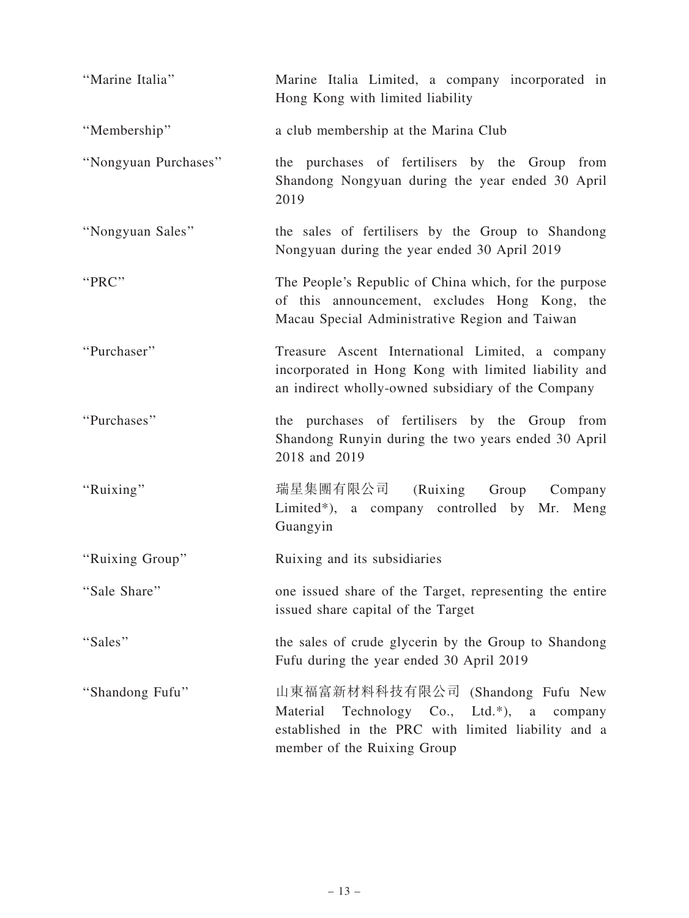| "Marine Italia"      | Marine Italia Limited, a company incorporated in<br>Hong Kong with limited liability                                                                                 |
|----------------------|----------------------------------------------------------------------------------------------------------------------------------------------------------------------|
| "Membership"         | a club membership at the Marina Club                                                                                                                                 |
| "Nongyuan Purchases" | the purchases of fertilisers by the Group from<br>Shandong Nongyuan during the year ended 30 April<br>2019                                                           |
| "Nongyuan Sales"     | the sales of fertilisers by the Group to Shandong<br>Nongyuan during the year ended 30 April 2019                                                                    |
| "PRC"                | The People's Republic of China which, for the purpose<br>of this announcement, excludes Hong Kong, the<br>Macau Special Administrative Region and Taiwan             |
| "Purchaser"          | Treasure Ascent International Limited, a company<br>incorporated in Hong Kong with limited liability and<br>an indirect wholly-owned subsidiary of the Company       |
| "Purchases"          | the purchases of fertilisers by the Group from<br>Shandong Runyin during the two years ended 30 April<br>2018 and 2019                                               |
| "Ruixing"            | 瑞星集團有限公司 (Ruixing Group Company<br>Limited*), a company controlled by Mr. Meng<br>Guangyin                                                                           |
| "Ruixing Group"      | Ruixing and its subsidiaries                                                                                                                                         |
| "Sale Share"         | one issued share of the Target, representing the entire<br>issued share capital of the Target                                                                        |
| "Sales"              | the sales of crude glycerin by the Group to Shandong<br>Fufu during the year ended 30 April 2019                                                                     |
| "Shandong Fufu"      | 山東福富新材料科技有限公司 (Shandong Fufu New<br>Material Technology Co., Ltd.*), a company<br>established in the PRC with limited liability and a<br>member of the Ruixing Group |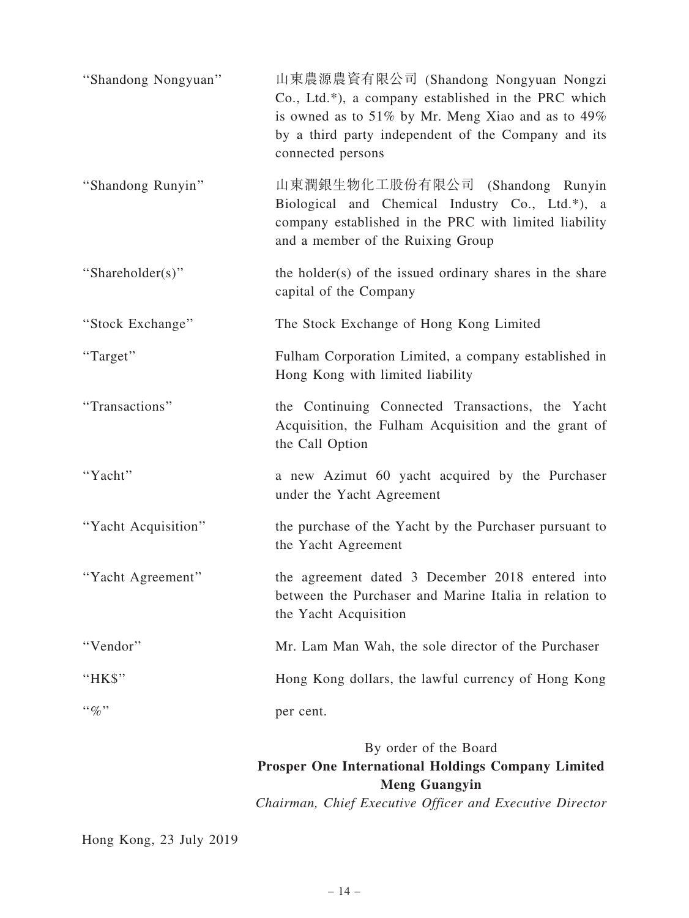| "Shandong Nongyuan" | 山東農源農資有限公司 (Shandong Nongyuan Nongzi<br>Co., Ltd.*), a company established in the PRC which<br>is owned as to 51% by Mr. Meng Xiao and as to $49\%$<br>by a third party independent of the Company and its<br>connected persons |
|---------------------|---------------------------------------------------------------------------------------------------------------------------------------------------------------------------------------------------------------------------------|
| "Shandong Runyin"   | 山東潤銀生物化工股份有限公司 (Shandong Runyin<br>Biological and Chemical Industry Co., Ltd.*), a<br>company established in the PRC with limited liability<br>and a member of the Ruixing Group                                                |
| "Shareholder(s)"    | the holder(s) of the issued ordinary shares in the share<br>capital of the Company                                                                                                                                              |
| "Stock Exchange"    | The Stock Exchange of Hong Kong Limited                                                                                                                                                                                         |
| "Target"            | Fulham Corporation Limited, a company established in<br>Hong Kong with limited liability                                                                                                                                        |
| "Transactions"      | the Continuing Connected Transactions, the Yacht<br>Acquisition, the Fulham Acquisition and the grant of<br>the Call Option                                                                                                     |
| "Yacht"             | a new Azimut 60 yacht acquired by the Purchaser<br>under the Yacht Agreement                                                                                                                                                    |
| "Yacht Acquisition" | the purchase of the Yacht by the Purchaser pursuant to<br>the Yacht Agreement                                                                                                                                                   |
| "Yacht Agreement"   | the agreement dated 3 December 2018 entered into<br>between the Purchaser and Marine Italia in relation to<br>the Yacht Acquisition                                                                                             |
| "Vendor"            | Mr. Lam Man Wah, the sole director of the Purchaser                                                                                                                                                                             |
| " $HKS$ "           | Hong Kong dollars, the lawful currency of Hong Kong                                                                                                                                                                             |
| $``\%"$             | per cent.                                                                                                                                                                                                                       |
|                     | By order of the Board<br><b>Prosper One International Holdings Company Limited</b><br><b>Meng Guangyin</b>                                                                                                                      |

Chairman, Chief Executive Officer and Executive Director

Hong Kong, 23 July 2019